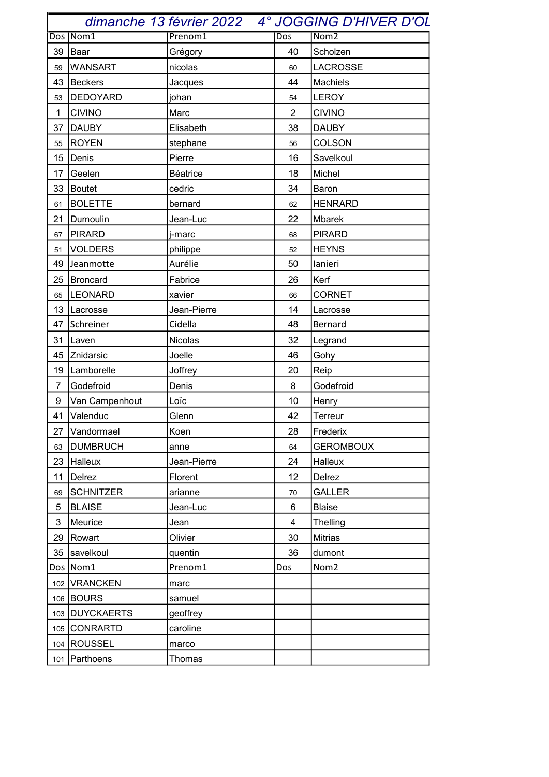|                  | dimanche 13 février 2022 |                 |                | <b>4° JOGGING D'HIVER D'OL</b> |  |
|------------------|--------------------------|-----------------|----------------|--------------------------------|--|
|                  | Dos Nom1                 | Prenom1         | Dos            | Nom <sub>2</sub>               |  |
| 39               | Baar                     | Grégory         | 40             | Scholzen                       |  |
| 59               | <b>WANSART</b>           | nicolas         | 60             | <b>LACROSSE</b>                |  |
| 43               | Beckers                  | Jacques         | 44             | Machiels                       |  |
| 53               | DEDOYARD                 | johan           | 54             | LEROY                          |  |
| $\mathbf{1}$     | <b>CIVINO</b>            | Marc            | $\overline{2}$ | <b>CIVINO</b>                  |  |
| 37               | <b>DAUBY</b>             | Elisabeth       | 38             | <b>DAUBY</b>                   |  |
| 55               | <b>ROYEN</b>             | stephane        | 56             | <b>COLSON</b>                  |  |
| 15 <sub>15</sub> | Denis                    | Pierre          | 16             | Savelkoul                      |  |
| 17               | Geelen                   | <b>Béatrice</b> | 18             | Michel                         |  |
| 33               | Boutet                   | cedric          | 34             | Baron                          |  |
| 61               | <b>BOLETTE</b>           | bernard         | 62             | <b>HENRARD</b>                 |  |
| 21               | Dumoulin                 | Jean-Luc        | 22             | Mbarek                         |  |
| 67               | PIRARD                   | j-marc          | 68             | <b>PIRARD</b>                  |  |
| 51               | <b>VOLDERS</b>           | philippe        | 52             | <b>HEYNS</b>                   |  |
| 49               | Jeanmotte                | Aurélie         | 50             | lanieri                        |  |
|                  | 25   Broncard            | Fabrice         | 26             | Kerf                           |  |
| 65               | <b>LEONARD</b>           | xavier          | 66             | <b>CORNET</b>                  |  |
|                  | 13   Lacrosse            | Jean-Pierre     | 14             | Lacrosse                       |  |
| 47               | Schreiner                | Cidella         | 48             | Bernard                        |  |
| 31               | Laven                    | Nicolas         | 32             | Legrand                        |  |
|                  | 45 Znidarsic             | Joelle          | 46             | Gohy                           |  |
| 19               | Lamborelle               | Joffrey         | 20             | Reip                           |  |
| $\overline{7}$   | Godefroid                | Denis           | 8              | Godefroid                      |  |
| 9                | Van Campenhout           | Loïc            | 10             | Henry                          |  |
| 41               | Valenduc                 | Glenn           | 42             | Terreur                        |  |
| 27               | Vandormael               | Koen            | 28             | Frederix                       |  |
| 63               | <b>DUMBRUCH</b>          | anne            | 64             | <b>GEROMBOUX</b>               |  |
| 23               | Halleux                  | Jean-Pierre     | 24             | Halleux                        |  |
| 11               | Delrez                   | Florent         | 12             | Delrez                         |  |
| 69               | <b>SCHNITZER</b>         | arianne         | 70             | <b>GALLER</b>                  |  |
| 5                | <b>BLAISE</b>            | Jean-Luc        | 6              | <b>Blaise</b>                  |  |
| 3                | Meurice                  | Jean            | 4              | Thelling                       |  |
| 29               | Rowart                   | Olivier         | 30             | <b>Mitrias</b>                 |  |
| 35               | savelkoul                | quentin         | 36             | dumont                         |  |
|                  | Dos Nom1                 | Prenom1         | Dos            | Nom <sub>2</sub>               |  |
|                  | 102 VRANCKEN             | marc            |                |                                |  |
|                  | 106 BOURS                | samuel          |                |                                |  |
|                  | 103 DUYCKAERTS           | geoffrey        |                |                                |  |
|                  | 105 CONRARTD             | caroline        |                |                                |  |
|                  | 104 ROUSSEL              | marco           |                |                                |  |
| 101              | Parthoens                | Thomas          |                |                                |  |